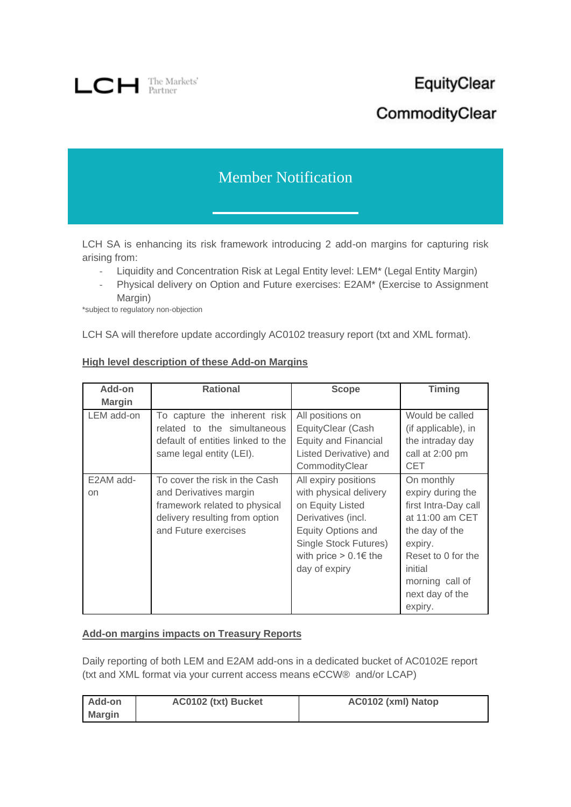

# EquityClear CommodityClear

# Member Notification

LCH SA is enhancing its risk framework introducing 2 add-on margins for capturing risk arising from:

- Liquidity and Concentration Risk at Legal Entity level: LEM\* (Legal Entity Margin)
- Physical delivery on Option and Future exercises: E2AM\* (Exercise to Assignment Margin)

\*subject to regulatory non-objection

LCH SA will therefore update accordingly AC0102 treasury report (txt and XML format).

| Add-on          | <b>Rational</b>                                                                                                                                    | Scope                                                                                                                                                                                  | <b>Timing</b>                                                                                                                                                                             |
|-----------------|----------------------------------------------------------------------------------------------------------------------------------------------------|----------------------------------------------------------------------------------------------------------------------------------------------------------------------------------------|-------------------------------------------------------------------------------------------------------------------------------------------------------------------------------------------|
| <b>Margin</b>   |                                                                                                                                                    |                                                                                                                                                                                        |                                                                                                                                                                                           |
| LEM add-on      | To capture the inherent risk<br>related to the simultaneous<br>default of entities linked to the<br>same legal entity (LEI).                       | All positions on<br>EquityClear (Cash<br><b>Equity and Financial</b><br>Listed Derivative) and<br>CommodityClear                                                                       | Would be called<br>(if applicable), in<br>the intraday day<br>call at 2:00 pm<br><b>CET</b>                                                                                               |
| E2AM add-<br>on | To cover the risk in the Cash<br>and Derivatives margin<br>framework related to physical<br>delivery resulting from option<br>and Future exercises | All expiry positions<br>with physical delivery<br>on Equity Listed<br>Derivatives (incl.<br>Equity Options and<br>Single Stock Futures)<br>with price $> 0.1 \in$ the<br>day of expiry | On monthly<br>expiry during the<br>first Intra-Day call<br>at 11:00 am CET<br>the day of the<br>expiry.<br>Reset to 0 for the<br>initial<br>morning call of<br>next day of the<br>expiry. |

# **High level description of these Add-on Margins**

#### **Add-on margins impacts on Treasury Reports**

Daily reporting of both LEM and E2AM add-ons in a dedicated bucket of AC0102E report (txt and XML format via your current access means eCCW® and/or LCAP)

| Add-on        | AC0102 (txt) Bucket | AC0102 (xml) Natop |
|---------------|---------------------|--------------------|
| <b>Margin</b> |                     |                    |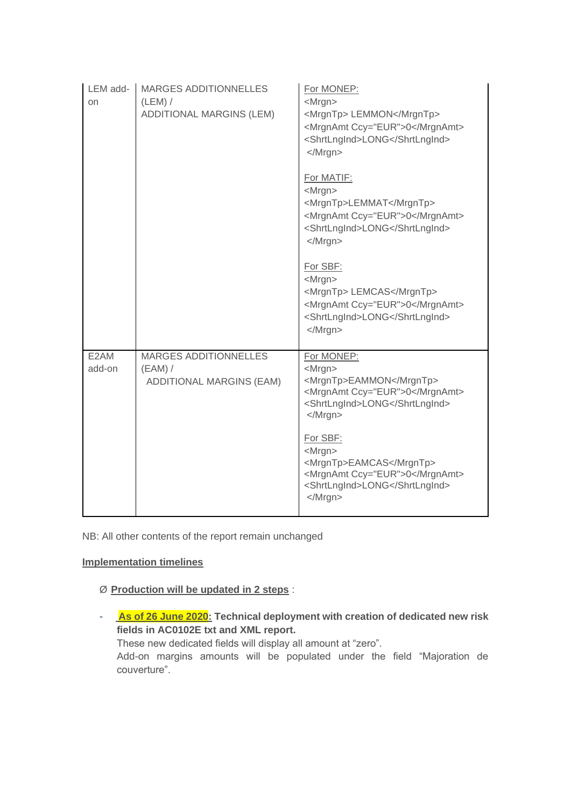| LEM add-<br>on | MARGES ADDITIONNELLES<br>$(LEM)$ /<br>ADDITIONAL MARGINS (LEM)        | For MONEP:<br><mrgn><br/><mrgntp> LEMMON</mrgntp><br/><mrgnamt ccy="EUR">0</mrgnamt><br/><shrtlngind>LONG</shrtlngind><br/></mrgn>                                       |
|----------------|-----------------------------------------------------------------------|--------------------------------------------------------------------------------------------------------------------------------------------------------------------------|
|                |                                                                       | For MATIF:<br><mrgn><br/><mrgntp>LEMMAT</mrgntp><br/><mrgnamt ccy="EUR">0</mrgnamt><br/><shrtlngind>LONG</shrtlngind><br/></mrgn>                                        |
|                |                                                                       | For SBF:<br><mrgn><br/><mrgntp> LEMCAS</mrgntp><br/><mrgnamt ccy="EUR">0</mrgnamt><br/><shrtlngind>LONG</shrtlngind><br/></mrgn>                                         |
| E2AM<br>add-on | <b>MARGES ADDITIONNELLES</b><br>$(EAM)$ /<br>ADDITIONAL MARGINS (EAM) | For MONEP:<br><mrgn><br/><mrgntp>EAMMON</mrgntp><br/><mrgnamt ccy="EUR">0</mrgnamt><br/><shrtlngind>LONG</shrtlngind><br/><math>&lt;</math>/Mrgn<math>&gt;</math></mrgn> |
|                |                                                                       | For SBF:<br><mrgn><br/><mrgntp>EAMCAS</mrgntp><br/><mrgnamt ccy="EUR">0</mrgnamt><br/><shrtlngind>LONG</shrtlngind><br/></mrgn>                                          |

NB: All other contents of the report remain unchanged

# **Implementation timelines**

# Ø **Production will be updated in 2 steps** :

- **As of 26 June 2020: Technical deployment with creation of dedicated new risk fields in AC0102E txt and XML report.**

These new dedicated fields will display all amount at "zero".

Add-on margins amounts will be populated under the field "Majoration de couverture".